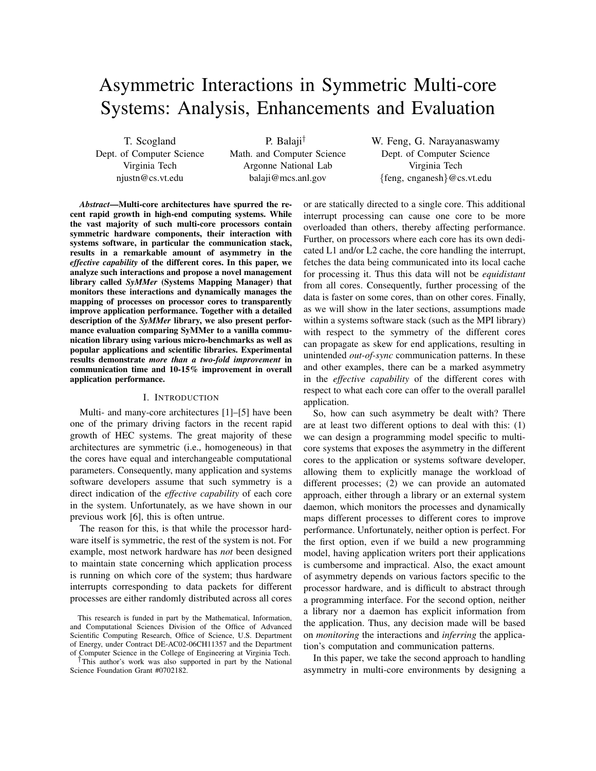# Asymmetric Interactions in Symmetric Multi-core Systems: Analysis, Enhancements and Evaluation

T. Scogland Dept. of Computer Science Virginia Tech njustn@cs.vt.edu

P. Balaji† Math. and Computer Science Argonne National Lab balaji@mcs.anl.gov

W. Feng, G. Narayanaswamy Dept. of Computer Science Virginia Tech {feng, cnganesh}@cs.vt.edu

*Abstract*—Multi-core architectures have spurred the recent rapid growth in high-end computing systems. While the vast majority of such multi-core processors contain symmetric hardware components, their interaction with systems software, in particular the communication stack, results in a remarkable amount of asymmetry in the *effective capability* of the different cores. In this paper, we analyze such interactions and propose a novel management library called *SyMMer* (Systems Mapping Manager) that monitors these interactions and dynamically manages the mapping of processes on processor cores to transparently improve application performance. Together with a detailed description of the *SyMMer* library, we also present performance evaluation comparing SyMMer to a vanilla communication library using various micro-benchmarks as well as popular applications and scientific libraries. Experimental results demonstrate *more than a two-fold improvement* in communication time and 10-15% improvement in overall application performance.

## I. INTRODUCTION

Multi- and many-core architectures [1]–[5] have been one of the primary driving factors in the recent rapid growth of HEC systems. The great majority of these architectures are symmetric (i.e., homogeneous) in that the cores have equal and interchangeable computational parameters. Consequently, many application and systems software developers assume that such symmetry is a direct indication of the *effective capability* of each core in the system. Unfortunately, as we have shown in our previous work [6], this is often untrue.

The reason for this, is that while the processor hardware itself is symmetric, the rest of the system is not. For example, most network hardware has *not* been designed to maintain state concerning which application process is running on which core of the system; thus hardware interrupts corresponding to data packets for different processes are either randomly distributed across all cores

†This author's work was also supported in part by the National Science Foundation Grant #0702182.

or are statically directed to a single core. This additional interrupt processing can cause one core to be more overloaded than others, thereby affecting performance. Further, on processors where each core has its own dedicated L1 and/or L2 cache, the core handling the interrupt, fetches the data being communicated into its local cache for processing it. Thus this data will not be *equidistant* from all cores. Consequently, further processing of the data is faster on some cores, than on other cores. Finally, as we will show in the later sections, assumptions made within a systems software stack (such as the MPI library) with respect to the symmetry of the different cores can propagate as skew for end applications, resulting in unintended *out-of-sync* communication patterns. In these and other examples, there can be a marked asymmetry in the *effective capability* of the different cores with respect to what each core can offer to the overall parallel application.

So, how can such asymmetry be dealt with? There are at least two different options to deal with this: (1) we can design a programming model specific to multicore systems that exposes the asymmetry in the different cores to the application or systems software developer, allowing them to explicitly manage the workload of different processes; (2) we can provide an automated approach, either through a library or an external system daemon, which monitors the processes and dynamically maps different processes to different cores to improve performance. Unfortunately, neither option is perfect. For the first option, even if we build a new programming model, having application writers port their applications is cumbersome and impractical. Also, the exact amount of asymmetry depends on various factors specific to the processor hardware, and is difficult to abstract through a programming interface. For the second option, neither a library nor a daemon has explicit information from the application. Thus, any decision made will be based on *monitoring* the interactions and *inferring* the application's computation and communication patterns.

In this paper, we take the second approach to handling asymmetry in multi-core environments by designing a

This research is funded in part by the Mathematical, Information, and Computational Sciences Division of the Office of Advanced Scientific Computing Research, Office of Science, U.S. Department of Energy, under Contract DE-AC02-06CH11357 and the Department of Computer Science in the College of Engineering at Virginia Tech.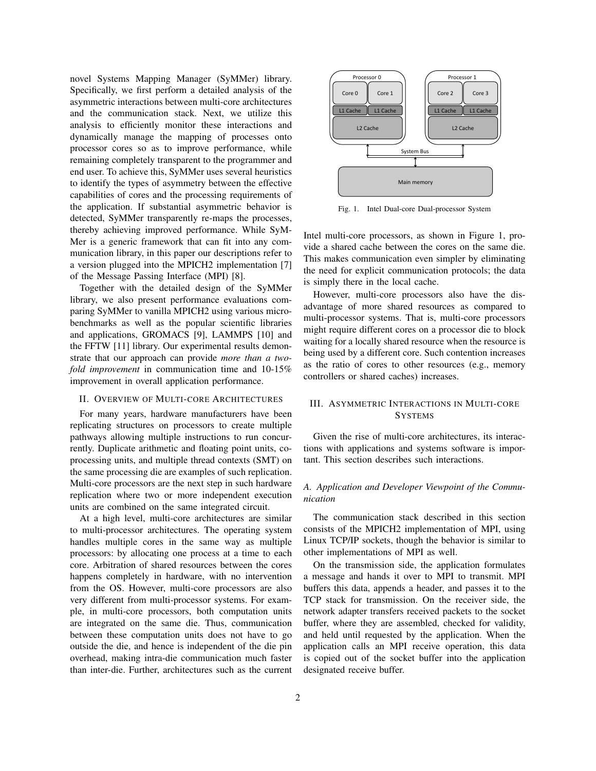novel Systems Mapping Manager (SyMMer) library. Specifically, we first perform a detailed analysis of the asymmetric interactions between multi-core architectures and the communication stack. Next, we utilize this analysis to efficiently monitor these interactions and dynamically manage the mapping of processes onto processor cores so as to improve performance, while remaining completely transparent to the programmer and end user. To achieve this, SyMMer uses several heuristics to identify the types of asymmetry between the effective capabilities of cores and the processing requirements of the application. If substantial asymmetric behavior is detected, SyMMer transparently re-maps the processes, thereby achieving improved performance. While SyM-Mer is a generic framework that can fit into any communication library, in this paper our descriptions refer to a version plugged into the MPICH2 implementation [7] of the Message Passing Interface (MPI) [8].

Together with the detailed design of the SyMMer library, we also present performance evaluations comparing SyMMer to vanilla MPICH2 using various microbenchmarks as well as the popular scientific libraries and applications, GROMACS [9], LAMMPS [10] and the FFTW [11] library. Our experimental results demonstrate that our approach can provide *more than a twofold improvement* in communication time and 10-15% improvement in overall application performance.

### II. OVERVIEW OF MULTI-CORE ARCHITECTURES

For many years, hardware manufacturers have been replicating structures on processors to create multiple pathways allowing multiple instructions to run concurrently. Duplicate arithmetic and floating point units, coprocessing units, and multiple thread contexts (SMT) on the same processing die are examples of such replication. Multi-core processors are the next step in such hardware replication where two or more independent execution units are combined on the same integrated circuit.

At a high level, multi-core architectures are similar to multi-processor architectures. The operating system handles multiple cores in the same way as multiple processors: by allocating one process at a time to each core. Arbitration of shared resources between the cores happens completely in hardware, with no intervention from the OS. However, multi-core processors are also very different from multi-processor systems. For example, in multi-core processors, both computation units are integrated on the same die. Thus, communication between these computation units does not have to go outside the die, and hence is independent of the die pin overhead, making intra-die communication much faster than inter-die. Further, architectures such as the current



Fig. 1. Intel Dual-core Dual-processor System

Intel multi-core processors, as shown in Figure 1, provide a shared cache between the cores on the same die. This makes communication even simpler by eliminating the need for explicit communication protocols; the data is simply there in the local cache.

However, multi-core processors also have the disadvantage of more shared resources as compared to multi-processor systems. That is, multi-core processors might require different cores on a processor die to block waiting for a locally shared resource when the resource is being used by a different core. Such contention increases as the ratio of cores to other resources (e.g., memory controllers or shared caches) increases.

# III. ASYMMETRIC INTERACTIONS IN MULTI-CORE **SYSTEMS**

Given the rise of multi-core architectures, its interactions with applications and systems software is important. This section describes such interactions.

# *A. Application and Developer Viewpoint of the Communication*

The communication stack described in this section consists of the MPICH2 implementation of MPI, using Linux TCP/IP sockets, though the behavior is similar to other implementations of MPI as well.

On the transmission side, the application formulates a message and hands it over to MPI to transmit. MPI buffers this data, appends a header, and passes it to the TCP stack for transmission. On the receiver side, the network adapter transfers received packets to the socket buffer, where they are assembled, checked for validity, and held until requested by the application. When the application calls an MPI receive operation, this data is copied out of the socket buffer into the application designated receive buffer.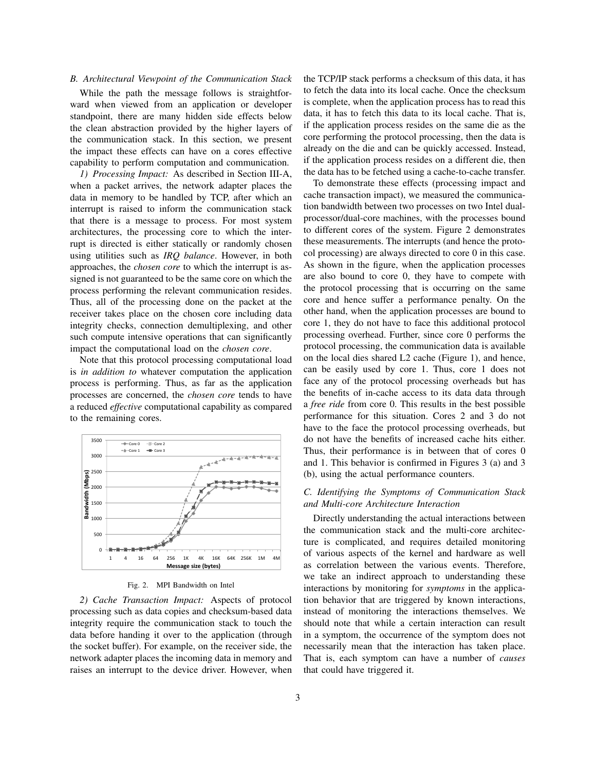# *B. Architectural Viewpoint of the Communication Stack*

While the path the message follows is straightforward when viewed from an application or developer standpoint, there are many hidden side effects below the clean abstraction provided by the higher layers of the communication stack. In this section, we present the impact these effects can have on a cores effective capability to perform computation and communication.

*1) Processing Impact:* As described in Section III-A, when a packet arrives, the network adapter places the data in memory to be handled by TCP, after which an interrupt is raised to inform the communication stack that there is a message to process. For most system architectures, the processing core to which the interrupt is directed is either statically or randomly chosen using utilities such as *IRQ balance*. However, in both approaches, the *chosen core* to which the interrupt is assigned is not guaranteed to be the same core on which the process performing the relevant communication resides. Thus, all of the processing done on the packet at the receiver takes place on the chosen core including data integrity checks, connection demultiplexing, and other such compute intensive operations that can significantly impact the computational load on the *chosen core*.

Note that this protocol processing computational load is *in addition to* whatever computation the application process is performing. Thus, as far as the application processes are concerned, the *chosen core* tends to have a reduced *effective* computational capability as compared to the remaining cores.



Fig. 2. MPI Bandwidth on Intel

*2) Cache Transaction Impact:* Aspects of protocol processing such as data copies and checksum-based data integrity require the communication stack to touch the data before handing it over to the application (through the socket buffer). For example, on the receiver side, the network adapter places the incoming data in memory and raises an interrupt to the device driver. However, when the TCP/IP stack performs a checksum of this data, it has to fetch the data into its local cache. Once the checksum is complete, when the application process has to read this data, it has to fetch this data to its local cache. That is, if the application process resides on the same die as the core performing the protocol processing, then the data is already on the die and can be quickly accessed. Instead, if the application process resides on a different die, then the data has to be fetched using a cache-to-cache transfer.

To demonstrate these effects (processing impact and cache transaction impact), we measured the communication bandwidth between two processes on two Intel dualprocessor/dual-core machines, with the processes bound to different cores of the system. Figure 2 demonstrates these measurements. The interrupts (and hence the protocol processing) are always directed to core 0 in this case. As shown in the figure, when the application processes are also bound to core 0, they have to compete with the protocol processing that is occurring on the same core and hence suffer a performance penalty. On the other hand, when the application processes are bound to core 1, they do not have to face this additional protocol processing overhead. Further, since core 0 performs the protocol processing, the communication data is available on the local dies shared L2 cache (Figure 1), and hence, can be easily used by core 1. Thus, core 1 does not face any of the protocol processing overheads but has the benefits of in-cache access to its data data through a *free ride* from core 0. This results in the best possible performance for this situation. Cores 2 and 3 do not have to the face the protocol processing overheads, but do not have the benefits of increased cache hits either. Thus, their performance is in between that of cores 0 and 1. This behavior is confirmed in Figures 3 (a) and 3 (b), using the actual performance counters.

# *C. Identifying the Symptoms of Communication Stack and Multi-core Architecture Interaction*

Directly understanding the actual interactions between the communication stack and the multi-core architecture is complicated, and requires detailed monitoring of various aspects of the kernel and hardware as well as correlation between the various events. Therefore, we take an indirect approach to understanding these interactions by monitoring for *symptoms* in the application behavior that are triggered by known interactions, instead of monitoring the interactions themselves. We should note that while a certain interaction can result in a symptom, the occurrence of the symptom does not necessarily mean that the interaction has taken place. That is, each symptom can have a number of *causes* that could have triggered it.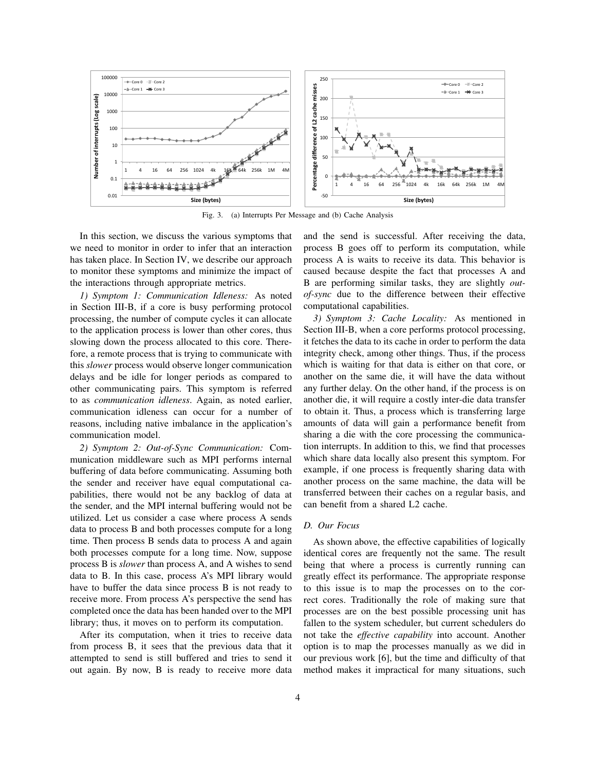

Fig. 3. (a) Interrupts Per Message and (b) Cache Analysis

In this section, we discuss the various symptoms that we need to monitor in order to infer that an interaction has taken place. In Section IV, we describe our approach to monitor these symptoms and minimize the impact of the interactions through appropriate metrics.

*1) Symptom 1: Communication Idleness:* As noted in Section III-B, if a core is busy performing protocol processing, the number of compute cycles it can allocate to the application process is lower than other cores, thus slowing down the process allocated to this core. Therefore, a remote process that is trying to communicate with this *slower* process would observe longer communication delays and be idle for longer periods as compared to other communicating pairs. This symptom is referred to as *communication idleness*. Again, as noted earlier, communication idleness can occur for a number of reasons, including native imbalance in the application's communication model.

*2) Symptom 2: Out-of-Sync Communication:* Communication middleware such as MPI performs internal buffering of data before communicating. Assuming both the sender and receiver have equal computational capabilities, there would not be any backlog of data at the sender, and the MPI internal buffering would not be utilized. Let us consider a case where process A sends data to process B and both processes compute for a long time. Then process B sends data to process A and again both processes compute for a long time. Now, suppose process B is *slower* than process A, and A wishes to send data to B. In this case, process A's MPI library would have to buffer the data since process B is not ready to receive more. From process A's perspective the send has completed once the data has been handed over to the MPI library; thus, it moves on to perform its computation.

After its computation, when it tries to receive data from process B, it sees that the previous data that it attempted to send is still buffered and tries to send it out again. By now, B is ready to receive more data and the send is successful. After receiving the data, process B goes off to perform its computation, while process A is waits to receive its data. This behavior is caused because despite the fact that processes A and B are performing similar tasks, they are slightly *outof-sync* due to the difference between their effective computational capabilities.

*3) Symptom 3: Cache Locality:* As mentioned in Section III-B, when a core performs protocol processing, it fetches the data to its cache in order to perform the data integrity check, among other things. Thus, if the process which is waiting for that data is either on that core, or another on the same die, it will have the data without any further delay. On the other hand, if the process is on another die, it will require a costly inter-die data transfer to obtain it. Thus, a process which is transferring large amounts of data will gain a performance benefit from sharing a die with the core processing the communication interrupts. In addition to this, we find that processes which share data locally also present this symptom. For example, if one process is frequently sharing data with another process on the same machine, the data will be transferred between their caches on a regular basis, and can benefit from a shared L2 cache.

## *D. Our Focus*

As shown above, the effective capabilities of logically identical cores are frequently not the same. The result being that where a process is currently running can greatly effect its performance. The appropriate response to this issue is to map the processes on to the correct cores. Traditionally the role of making sure that processes are on the best possible processing unit has fallen to the system scheduler, but current schedulers do not take the *effective capability* into account. Another option is to map the processes manually as we did in our previous work [6], but the time and difficulty of that method makes it impractical for many situations, such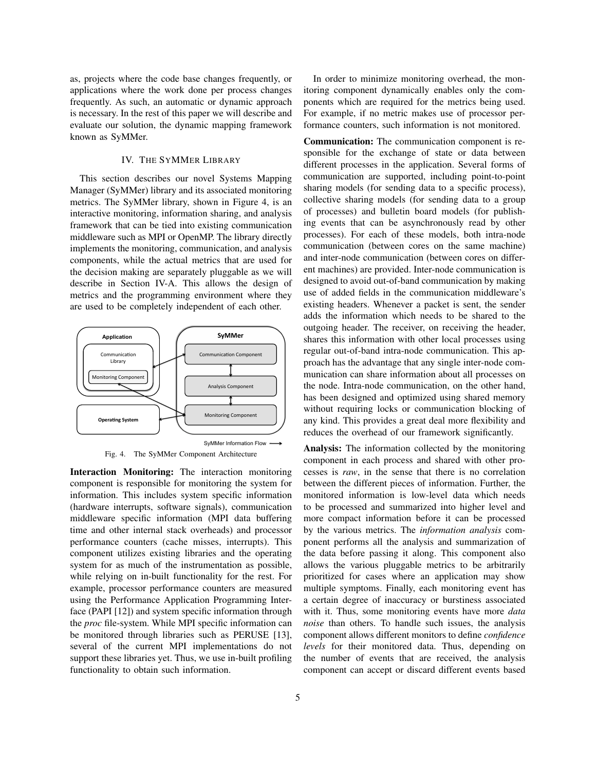as, projects where the code base changes frequently, or applications where the work done per process changes frequently. As such, an automatic or dynamic approach is necessary. In the rest of this paper we will describe and evaluate our solution, the dynamic mapping framework known as SyMMer.

# IV. THE SYMMER LIBRARY

This section describes our novel Systems Mapping Manager (SyMMer) library and its associated monitoring metrics. The SyMMer library, shown in Figure 4, is an interactive monitoring, information sharing, and analysis framework that can be tied into existing communication middleware such as MPI or OpenMP. The library directly implements the monitoring, communication, and analysis components, while the actual metrics that are used for the decision making are separately pluggable as we will describe in Section IV-A. This allows the design of metrics and the programming environment where they are used to be completely independent of each other.





Interaction Monitoring: The interaction monitoring component is responsible for monitoring the system for information. This includes system specific information (hardware interrupts, software signals), communication middleware specific information (MPI data buffering time and other internal stack overheads) and processor performance counters (cache misses, interrupts). This component utilizes existing libraries and the operating system for as much of the instrumentation as possible, while relying on in-built functionality for the rest. For example, processor performance counters are measured using the Performance Application Programming Interface (PAPI [12]) and system specific information through the *proc* file-system. While MPI specific information can be monitored through libraries such as PERUSE [13], several of the current MPI implementations do not support these libraries yet. Thus, we use in-built profiling functionality to obtain such information.

In order to minimize monitoring overhead, the monitoring component dynamically enables only the components which are required for the metrics being used. For example, if no metric makes use of processor performance counters, such information is not monitored.

Communication: The communication component is responsible for the exchange of state or data between different processes in the application. Several forms of communication are supported, including point-to-point sharing models (for sending data to a specific process), collective sharing models (for sending data to a group of processes) and bulletin board models (for publishing events that can be asynchronously read by other processes). For each of these models, both intra-node communication (between cores on the same machine) and inter-node communication (between cores on different machines) are provided. Inter-node communication is designed to avoid out-of-band communication by making use of added fields in the communication middleware's existing headers. Whenever a packet is sent, the sender adds the information which needs to be shared to the outgoing header. The receiver, on receiving the header, shares this information with other local processes using regular out-of-band intra-node communication. This approach has the advantage that any single inter-node communication can share information about all processes on the node. Intra-node communication, on the other hand, has been designed and optimized using shared memory without requiring locks or communication blocking of any kind. This provides a great deal more flexibility and reduces the overhead of our framework significantly.

Analysis: The information collected by the monitoring component in each process and shared with other processes is *raw*, in the sense that there is no correlation between the different pieces of information. Further, the monitored information is low-level data which needs to be processed and summarized into higher level and more compact information before it can be processed by the various metrics. The *information analysis* component performs all the analysis and summarization of the data before passing it along. This component also allows the various pluggable metrics to be arbitrarily prioritized for cases where an application may show multiple symptoms. Finally, each monitoring event has a certain degree of inaccuracy or burstiness associated with it. Thus, some monitoring events have more *data noise* than others. To handle such issues, the analysis component allows different monitors to define *confidence levels* for their monitored data. Thus, depending on the number of events that are received, the analysis component can accept or discard different events based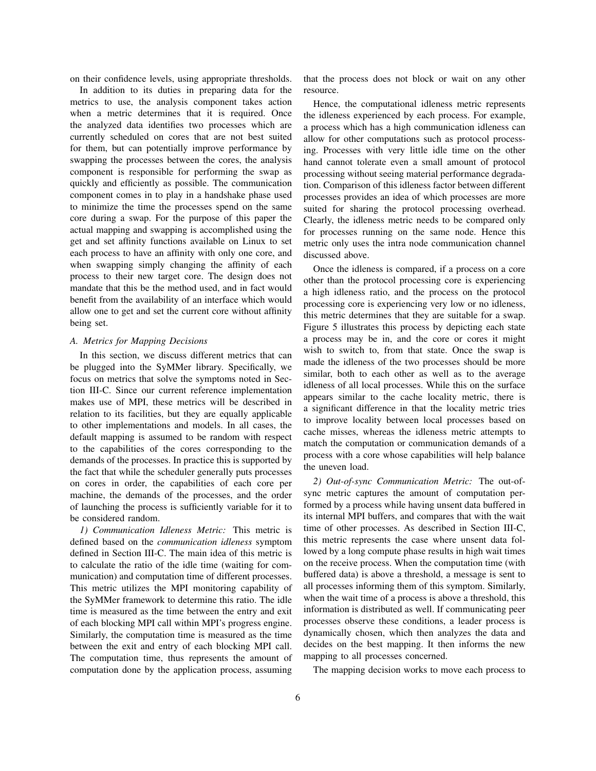on their confidence levels, using appropriate thresholds.

In addition to its duties in preparing data for the metrics to use, the analysis component takes action when a metric determines that it is required. Once the analyzed data identifies two processes which are currently scheduled on cores that are not best suited for them, but can potentially improve performance by swapping the processes between the cores, the analysis component is responsible for performing the swap as quickly and efficiently as possible. The communication component comes in to play in a handshake phase used to minimize the time the processes spend on the same core during a swap. For the purpose of this paper the actual mapping and swapping is accomplished using the get and set affinity functions available on Linux to set each process to have an affinity with only one core, and when swapping simply changing the affinity of each process to their new target core. The design does not mandate that this be the method used, and in fact would benefit from the availability of an interface which would allow one to get and set the current core without affinity being set.

#### *A. Metrics for Mapping Decisions*

In this section, we discuss different metrics that can be plugged into the SyMMer library. Specifically, we focus on metrics that solve the symptoms noted in Section III-C. Since our current reference implementation makes use of MPI, these metrics will be described in relation to its facilities, but they are equally applicable to other implementations and models. In all cases, the default mapping is assumed to be random with respect to the capabilities of the cores corresponding to the demands of the processes. In practice this is supported by the fact that while the scheduler generally puts processes on cores in order, the capabilities of each core per machine, the demands of the processes, and the order of launching the process is sufficiently variable for it to be considered random.

*1) Communication Idleness Metric:* This metric is defined based on the *communication idleness* symptom defined in Section III-C. The main idea of this metric is to calculate the ratio of the idle time (waiting for communication) and computation time of different processes. This metric utilizes the MPI monitoring capability of the SyMMer framework to determine this ratio. The idle time is measured as the time between the entry and exit of each blocking MPI call within MPI's progress engine. Similarly, the computation time is measured as the time between the exit and entry of each blocking MPI call. The computation time, thus represents the amount of computation done by the application process, assuming that the process does not block or wait on any other resource.

Hence, the computational idleness metric represents the idleness experienced by each process. For example, a process which has a high communication idleness can allow for other computations such as protocol processing. Processes with very little idle time on the other hand cannot tolerate even a small amount of protocol processing without seeing material performance degradation. Comparison of this idleness factor between different processes provides an idea of which processes are more suited for sharing the protocol processing overhead. Clearly, the idleness metric needs to be compared only for processes running on the same node. Hence this metric only uses the intra node communication channel discussed above.

Once the idleness is compared, if a process on a core other than the protocol processing core is experiencing a high idleness ratio, and the process on the protocol processing core is experiencing very low or no idleness, this metric determines that they are suitable for a swap. Figure 5 illustrates this process by depicting each state a process may be in, and the core or cores it might wish to switch to, from that state. Once the swap is made the idleness of the two processes should be more similar, both to each other as well as to the average idleness of all local processes. While this on the surface appears similar to the cache locality metric, there is a significant difference in that the locality metric tries to improve locality between local processes based on cache misses, whereas the idleness metric attempts to match the computation or communication demands of a process with a core whose capabilities will help balance the uneven load.

*2) Out-of-sync Communication Metric:* The out-ofsync metric captures the amount of computation performed by a process while having unsent data buffered in its internal MPI buffers, and compares that with the wait time of other processes. As described in Section III-C, this metric represents the case where unsent data followed by a long compute phase results in high wait times on the receive process. When the computation time (with buffered data) is above a threshold, a message is sent to all processes informing them of this symptom. Similarly, when the wait time of a process is above a threshold, this information is distributed as well. If communicating peer processes observe these conditions, a leader process is dynamically chosen, which then analyzes the data and decides on the best mapping. It then informs the new mapping to all processes concerned.

The mapping decision works to move each process to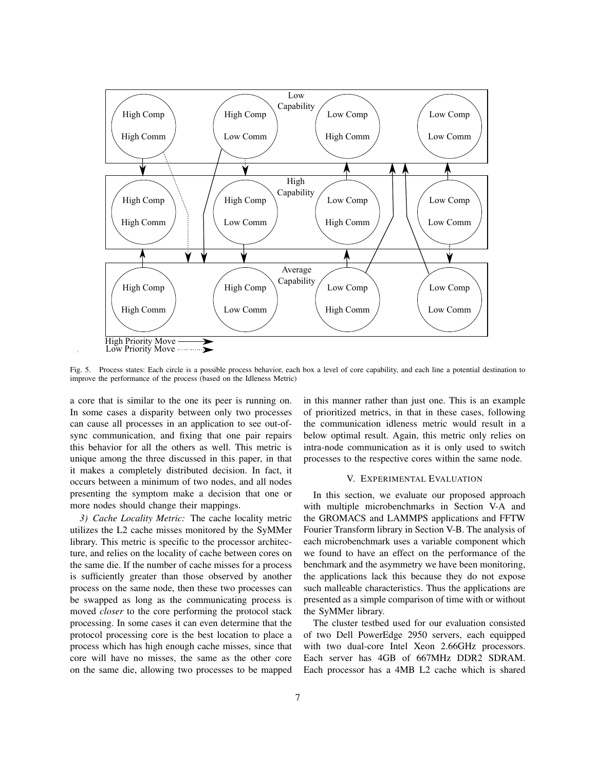

Fig. 5. Process states: Each circle is a possible process behavior, each box a level of core capability, and each line a potential destination to improve the performance of the process (based on the Idleness Metric)

a core that is similar to the one its peer is running on. In some cases a disparity between only two processes can cause all processes in an application to see out-ofsync communication, and fixing that one pair repairs this behavior for all the others as well. This metric is unique among the three discussed in this paper, in that it makes a completely distributed decision. In fact, it occurs between a minimum of two nodes, and all nodes presenting the symptom make a decision that one or more nodes should change their mappings.

*3) Cache Locality Metric:* The cache locality metric utilizes the L2 cache misses monitored by the SyMMer library. This metric is specific to the processor architecture, and relies on the locality of cache between cores on the same die. If the number of cache misses for a process is sufficiently greater than those observed by another process on the same node, then these two processes can be swapped as long as the communicating process is moved *closer* to the core performing the protocol stack processing. In some cases it can even determine that the protocol processing core is the best location to place a process which has high enough cache misses, since that core will have no misses, the same as the other core on the same die, allowing two processes to be mapped

in this manner rather than just one. This is an example of prioritized metrics, in that in these cases, following the communication idleness metric would result in a below optimal result. Again, this metric only relies on intra-node communication as it is only used to switch processes to the respective cores within the same node.

## V. EXPERIMENTAL EVALUATION

In this section, we evaluate our proposed approach with multiple microbenchmarks in Section V-A and the GROMACS and LAMMPS applications and FFTW Fourier Transform library in Section V-B. The analysis of each microbenchmark uses a variable component which we found to have an effect on the performance of the benchmark and the asymmetry we have been monitoring, the applications lack this because they do not expose such malleable characteristics. Thus the applications are presented as a simple comparison of time with or without the SyMMer library.

The cluster testbed used for our evaluation consisted of two Dell PowerEdge 2950 servers, each equipped with two dual-core Intel Xeon 2.66GHz processors. Each server has 4GB of 667MHz DDR2 SDRAM. Each processor has a 4MB L2 cache which is shared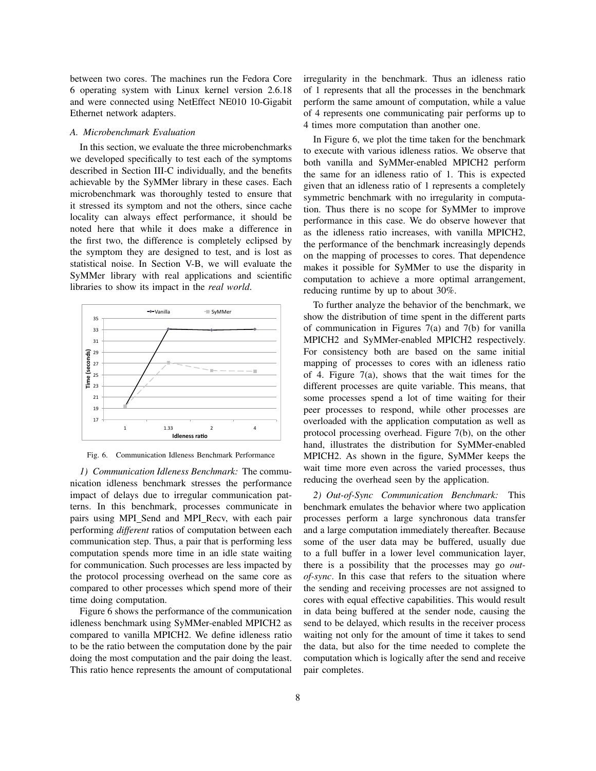between two cores. The machines run the Fedora Core 6 operating system with Linux kernel version 2.6.18 and were connected using NetEffect NE010 10-Gigabit Ethernet network adapters.

## *A. Microbenchmark Evaluation*

In this section, we evaluate the three microbenchmarks we developed specifically to test each of the symptoms described in Section III-C individually, and the benefits achievable by the SyMMer library in these cases. Each microbenchmark was thoroughly tested to ensure that it stressed its symptom and not the others, since cache locality can always effect performance, it should be noted here that while it does make a difference in the first two, the difference is completely eclipsed by the symptom they are designed to test, and is lost as statistical noise. In Section V-B, we will evaluate the SyMMer library with real applications and scientific libraries to show its impact in the *real world*.



Fig. 6. Communication Idleness Benchmark Performance

*1) Communication Idleness Benchmark:* The communication idleness benchmark stresses the performance impact of delays due to irregular communication patterns. In this benchmark, processes communicate in pairs using MPI\_Send and MPI\_Recv, with each pair performing *different* ratios of computation between each communication step. Thus, a pair that is performing less computation spends more time in an idle state waiting for communication. Such processes are less impacted by the protocol processing overhead on the same core as compared to other processes which spend more of their time doing computation.

Figure 6 shows the performance of the communication idleness benchmark using SyMMer-enabled MPICH2 as compared to vanilla MPICH2. We define idleness ratio to be the ratio between the computation done by the pair doing the most computation and the pair doing the least. This ratio hence represents the amount of computational irregularity in the benchmark. Thus an idleness ratio of 1 represents that all the processes in the benchmark perform the same amount of computation, while a value of 4 represents one communicating pair performs up to 4 times more computation than another one.

In Figure 6, we plot the time taken for the benchmark to execute with various idleness ratios. We observe that both vanilla and SyMMer-enabled MPICH2 perform the same for an idleness ratio of 1. This is expected given that an idleness ratio of 1 represents a completely symmetric benchmark with no irregularity in computation. Thus there is no scope for SyMMer to improve performance in this case. We do observe however that as the idleness ratio increases, with vanilla MPICH2, the performance of the benchmark increasingly depends on the mapping of processes to cores. That dependence makes it possible for SyMMer to use the disparity in computation to achieve a more optimal arrangement, reducing runtime by up to about 30%.

To further analyze the behavior of the benchmark, we show the distribution of time spent in the different parts of communication in Figures  $7(a)$  and  $7(b)$  for vanilla MPICH2 and SyMMer-enabled MPICH2 respectively. For consistency both are based on the same initial mapping of processes to cores with an idleness ratio of 4. Figure 7(a), shows that the wait times for the different processes are quite variable. This means, that some processes spend a lot of time waiting for their peer processes to respond, while other processes are overloaded with the application computation as well as protocol processing overhead. Figure 7(b), on the other hand, illustrates the distribution for SyMMer-enabled MPICH2. As shown in the figure, SyMMer keeps the wait time more even across the varied processes, thus reducing the overhead seen by the application.

*2) Out-of-Sync Communication Benchmark:* This benchmark emulates the behavior where two application processes perform a large synchronous data transfer and a large computation immediately thereafter. Because some of the user data may be buffered, usually due to a full buffer in a lower level communication layer, there is a possibility that the processes may go *outof-sync*. In this case that refers to the situation where the sending and receiving processes are not assigned to cores with equal effective capabilities. This would result in data being buffered at the sender node, causing the send to be delayed, which results in the receiver process waiting not only for the amount of time it takes to send the data, but also for the time needed to complete the computation which is logically after the send and receive pair completes.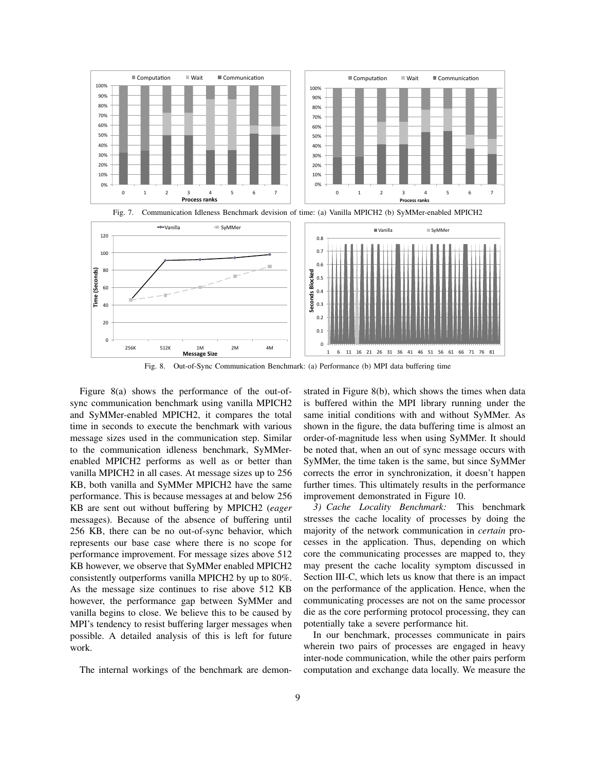





Fig. 8. Out-of-Sync Communication Benchmark: (a) Performance (b) MPI data buffering time

Figure 8(a) shows the performance of the out-ofsync communication benchmark using vanilla MPICH2 and SyMMer-enabled MPICH2, it compares the total time in seconds to execute the benchmark with various message sizes used in the communication step. Similar to the communication idleness benchmark, SyMMerenabled MPICH2 performs as well as or better than vanilla MPICH2 in all cases. At message sizes up to 256 KB, both vanilla and SyMMer MPICH2 have the same performance. This is because messages at and below 256 KB are sent out without buffering by MPICH2 (*eager* messages). Because of the absence of buffering until 256 KB, there can be no out-of-sync behavior, which represents our base case where there is no scope for performance improvement. For message sizes above 512 KB however, we observe that SyMMer enabled MPICH2 consistently outperforms vanilla MPICH2 by up to 80%. As the message size continues to rise above 512 KB however, the performance gap between SyMMer and vanilla begins to close. We believe this to be caused by MPI's tendency to resist buffering larger messages when possible. A detailed analysis of this is left for future work.

The internal workings of the benchmark are demon-

strated in Figure 8(b), which shows the times when data is buffered within the MPI library running under the same initial conditions with and without SyMMer. As shown in the figure, the data buffering time is almost an order-of-magnitude less when using SyMMer. It should be noted that, when an out of sync message occurs with SyMMer, the time taken is the same, but since SyMMer corrects the error in synchronization, it doesn't happen further times. This ultimately results in the performance improvement demonstrated in Figure 10.

*3) Cache Locality Benchmark:* This benchmark stresses the cache locality of processes by doing the majority of the network communication in *certain* processes in the application. Thus, depending on which core the communicating processes are mapped to, they may present the cache locality symptom discussed in Section III-C, which lets us know that there is an impact on the performance of the application. Hence, when the communicating processes are not on the same processor die as the core performing protocol processing, they can potentially take a severe performance hit.

In our benchmark, processes communicate in pairs wherein two pairs of processes are engaged in heavy inter-node communication, while the other pairs perform computation and exchange data locally. We measure the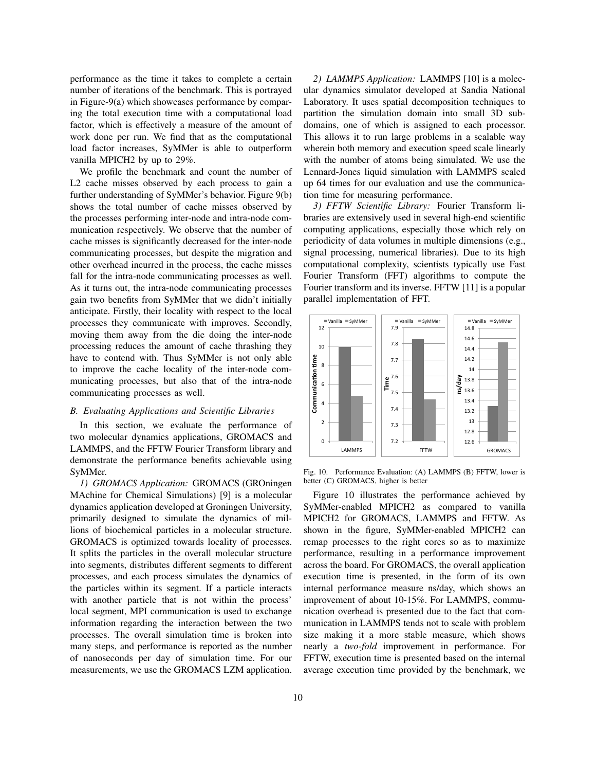performance as the time it takes to complete a certain number of iterations of the benchmark. This is portrayed in Figure-9(a) which showcases performance by comparing the total execution time with a computational load factor, which is effectively a measure of the amount of work done per run. We find that as the computational load factor increases, SyMMer is able to outperform vanilla MPICH2 by up to 29%.

We profile the benchmark and count the number of L2 cache misses observed by each process to gain a further understanding of SyMMer's behavior. Figure 9(b) shows the total number of cache misses observed by the processes performing inter-node and intra-node communication respectively. We observe that the number of cache misses is significantly decreased for the inter-node communicating processes, but despite the migration and other overhead incurred in the process, the cache misses fall for the intra-node communicating processes as well. As it turns out, the intra-node communicating processes gain two benefits from SyMMer that we didn't initially anticipate. Firstly, their locality with respect to the local processes they communicate with improves. Secondly, moving them away from the die doing the inter-node processing reduces the amount of cache thrashing they have to contend with. Thus SyMMer is not only able to improve the cache locality of the inter-node communicating processes, but also that of the intra-node communicating processes as well.

# *B. Evaluating Applications and Scientific Libraries*

In this section, we evaluate the performance of two molecular dynamics applications, GROMACS and LAMMPS, and the FFTW Fourier Transform library and demonstrate the performance benefits achievable using SyMMer.

*1) GROMACS Application:* GROMACS (GROningen MAchine for Chemical Simulations) [9] is a molecular dynamics application developed at Groningen University, primarily designed to simulate the dynamics of millions of biochemical particles in a molecular structure. GROMACS is optimized towards locality of processes. It splits the particles in the overall molecular structure into segments, distributes different segments to different processes, and each process simulates the dynamics of the particles within its segment. If a particle interacts with another particle that is not within the process' local segment, MPI communication is used to exchange information regarding the interaction between the two processes. The overall simulation time is broken into many steps, and performance is reported as the number of nanoseconds per day of simulation time. For our measurements, we use the GROMACS LZM application.

*2) LAMMPS Application:* LAMMPS [10] is a molecular dynamics simulator developed at Sandia National Laboratory. It uses spatial decomposition techniques to partition the simulation domain into small 3D subdomains, one of which is assigned to each processor. This allows it to run large problems in a scalable way wherein both memory and execution speed scale linearly with the number of atoms being simulated. We use the Lennard-Jones liquid simulation with LAMMPS scaled up 64 times for our evaluation and use the communication time for measuring performance.

*3) FFTW Scientific Library:* Fourier Transform libraries are extensively used in several high-end scientific computing applications, especially those which rely on periodicity of data volumes in multiple dimensions (e.g., signal processing, numerical libraries). Due to its high computational complexity, scientists typically use Fast Fourier Transform (FFT) algorithms to compute the Fourier transform and its inverse. FFTW [11] is a popular parallel implementation of FFT.



Fig. 10. Performance Evaluation: (A) LAMMPS (B) FFTW, lower is better (C) GROMACS, higher is better

Figure 10 illustrates the performance achieved by SyMMer-enabled MPICH2 as compared to vanilla MPICH2 for GROMACS, LAMMPS and FFTW. As shown in the figure, SyMMer-enabled MPICH2 can remap processes to the right cores so as to maximize performance, resulting in a performance improvement across the board. For GROMACS, the overall application execution time is presented, in the form of its own internal performance measure ns/day, which shows an improvement of about 10-15%. For LAMMPS, communication overhead is presented due to the fact that communication in LAMMPS tends not to scale with problem size making it a more stable measure, which shows nearly a *two-fold* improvement in performance. For FFTW, execution time is presented based on the internal average execution time provided by the benchmark, we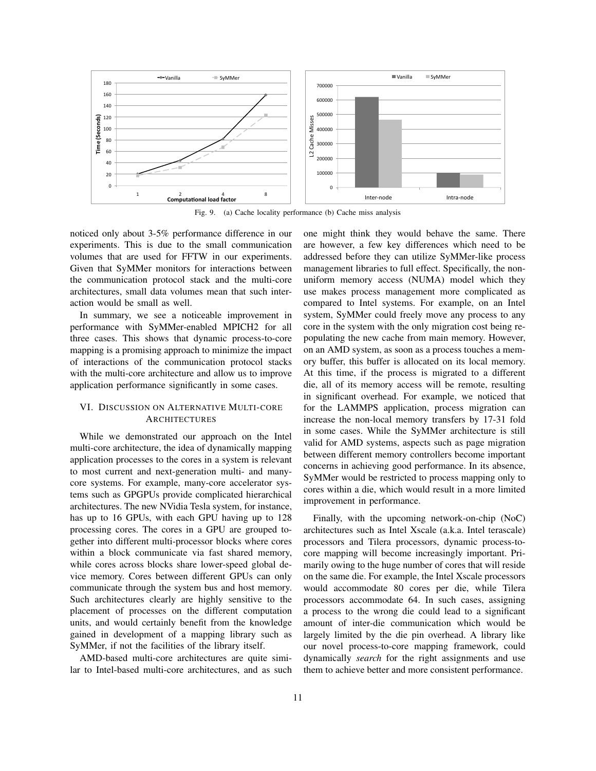

Fig. 9. (a) Cache locality performance (b) Cache miss analysis

noticed only about 3-5% performance difference in our experiments. This is due to the small communication volumes that are used for FFTW in our experiments. Given that SyMMer monitors for interactions between the communication protocol stack and the multi-core architectures, small data volumes mean that such interaction would be small as well.

In summary, we see a noticeable improvement in performance with SyMMer-enabled MPICH2 for all three cases. This shows that dynamic process-to-core mapping is a promising approach to minimize the impact of interactions of the communication protocol stacks with the multi-core architecture and allow us to improve application performance significantly in some cases.

# VI. DISCUSSION ON ALTERNATIVE MULTI-CORE ARCHITECTURES

While we demonstrated our approach on the Intel multi-core architecture, the idea of dynamically mapping application processes to the cores in a system is relevant to most current and next-generation multi- and manycore systems. For example, many-core accelerator systems such as GPGPUs provide complicated hierarchical architectures. The new NVidia Tesla system, for instance, has up to 16 GPUs, with each GPU having up to 128 processing cores. The cores in a GPU are grouped together into different multi-processor blocks where cores within a block communicate via fast shared memory, while cores across blocks share lower-speed global device memory. Cores between different GPUs can only communicate through the system bus and host memory. Such architectures clearly are highly sensitive to the placement of processes on the different computation units, and would certainly benefit from the knowledge gained in development of a mapping library such as SyMMer, if not the facilities of the library itself.

AMD-based multi-core architectures are quite similar to Intel-based multi-core architectures, and as such one might think they would behave the same. There are however, a few key differences which need to be addressed before they can utilize SyMMer-like process management libraries to full effect. Specifically, the nonuniform memory access (NUMA) model which they use makes process management more complicated as compared to Intel systems. For example, on an Intel system, SyMMer could freely move any process to any core in the system with the only migration cost being repopulating the new cache from main memory. However, on an AMD system, as soon as a process touches a memory buffer, this buffer is allocated on its local memory. At this time, if the process is migrated to a different die, all of its memory access will be remote, resulting in significant overhead. For example, we noticed that for the LAMMPS application, process migration can increase the non-local memory transfers by 17-31 fold in some cases. While the SyMMer architecture is still valid for AMD systems, aspects such as page migration between different memory controllers become important concerns in achieving good performance. In its absence, SyMMer would be restricted to process mapping only to cores within a die, which would result in a more limited improvement in performance.

Finally, with the upcoming network-on-chip (NoC) architectures such as Intel Xscale (a.k.a. Intel terascale) processors and Tilera processors, dynamic process-tocore mapping will become increasingly important. Primarily owing to the huge number of cores that will reside on the same die. For example, the Intel Xscale processors would accommodate 80 cores per die, while Tilera processors accommodate 64. In such cases, assigning a process to the wrong die could lead to a significant amount of inter-die communication which would be largely limited by the die pin overhead. A library like our novel process-to-core mapping framework, could dynamically *search* for the right assignments and use them to achieve better and more consistent performance.